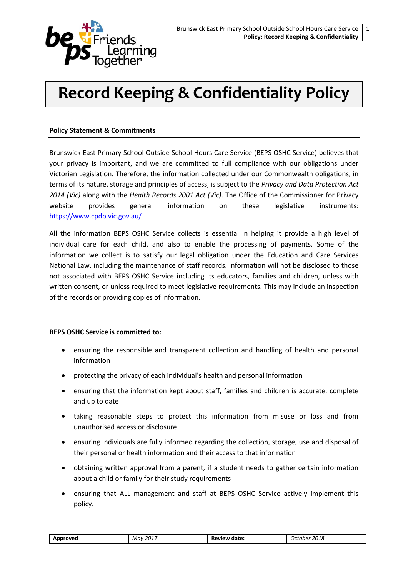

# **Record Keeping & Confidentiality Policy**

## **Policy Statement & Commitments**

Brunswick East Primary School Outside School Hours Care Service (BEPS OSHC Service) believes that your privacy is important, and we are committed to full compliance with our obligations under Victorian Legislation. Therefore, the information collected under our Commonwealth obligations, in terms of its nature, storage and principles of access, is subject to the *Privacy and Data Protection Act 2014 (Vic)* along with the *Health Records 2001 Act (Vic)*. The Office of the Commissioner for Privacy website provides general information on these legislative instruments: <https://www.cpdp.vic.gov.au/>

All the information BEPS OSHC Service collects is essential in helping it provide a high level of individual care for each child, and also to enable the processing of payments. Some of the information we collect is to satisfy our legal obligation under the Education and Care Services National Law, including the maintenance of staff records. Information will not be disclosed to those not associated with BEPS OSHC Service including its educators, families and children, unless with written consent, or unless required to meet legislative requirements. This may include an inspection of the records or providing copies of information.

#### **BEPS OSHC Service is committed to:**

- ensuring the responsible and transparent collection and handling of health and personal information
- protecting the privacy of each individual's health and personal information
- ensuring that the information kept about staff, families and children is accurate, complete and up to date
- taking reasonable steps to protect this information from misuse or loss and from unauthorised access or disclosure
- ensuring individuals are fully informed regarding the collection, storage, use and disposal of their personal or health information and their access to that information
- obtaining written approval from a parent, if a student needs to gather certain information about a child or family for their study requirements
- ensuring that ALL management and staff at BEPS OSHC Service actively implement this policy.

| -2017<br>Approved<br>Mav | Review date: | 2018<br>October |
|--------------------------|--------------|-----------------|
|--------------------------|--------------|-----------------|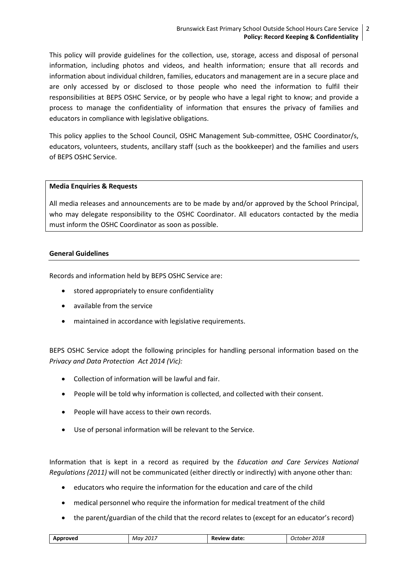This policy will provide guidelines for the collection, use, storage, access and disposal of personal information, including photos and videos, and health information; ensure that all records and information about individual children, families, educators and management are in a secure place and are only accessed by or disclosed to those people who need the information to fulfil their responsibilities at BEPS OSHC Service, or by people who have a legal right to know; and provide a process to manage the confidentiality of information that ensures the privacy of families and educators in compliance with legislative obligations.

This policy applies to the School Council, OSHC Management Sub-committee, OSHC Coordinator/s, educators, volunteers, students, ancillary staff (such as the bookkeeper) and the families and users of BEPS OSHC Service.

#### **Media Enquiries & Requests**

All media releases and announcements are to be made by and/or approved by the School Principal, who may delegate responsibility to the OSHC Coordinator. All educators contacted by the media must inform the OSHC Coordinator as soon as possible.

#### **General Guidelines**

Records and information held by BEPS OSHC Service are:

- stored appropriately to ensure confidentiality
- available from the service
- maintained in accordance with legislative requirements.

BEPS OSHC Service adopt the following principles for handling personal information based on the *Privacy and Data Protection Act 2014 (Vic):* 

- Collection of information will be lawful and fair.
- People will be told why information is collected, and collected with their consent.
- People will have access to their own records.
- Use of personal information will be relevant to the Service.

Information that is kept in a record as required by the *Education and Care Services National Regulations (2011)* will not be communicated (either directly or indirectly) with anyone other than:

- educators who require the information for the education and care of the child
- medical personnel who require the information for medical treatment of the child
- the parent/guardian of the child that the record relates to (except for an educator's record)

| m | 2017<br>Μαν | date<br>ĸ<br>.<br>______ | :U18<br>one<br>,,,<br>___<br>- - - - - - |
|---|-------------|--------------------------|------------------------------------------|
|   |             |                          |                                          |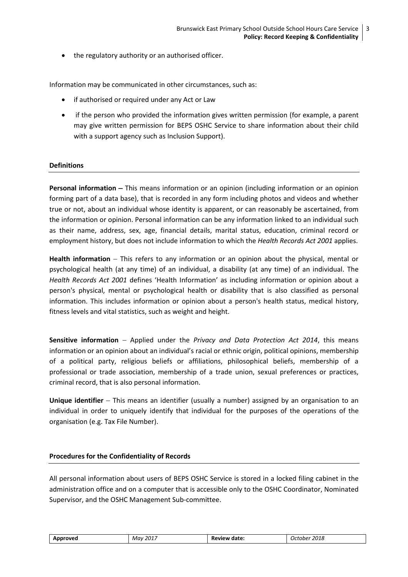• the regulatory authority or an authorised officer.

Information may be communicated in other circumstances, such as:

- if authorised or required under any Act or Law
- if the person who provided the information gives written permission (for example, a parent may give written permission for BEPS OSHC Service to share information about their child with a support agency such as Inclusion Support).

#### **Definitions**

**Personal information** – This means information or an opinion (including information or an opinion forming part of a data base), that is recorded in any form including photos and videos and whether true or not, about an individual whose identity is apparent, or can reasonably be ascertained, from the information or opinion. Personal information can be any information linked to an individual such as their name, address, sex, age, financial details, marital status, education, criminal record or employment history, but does not include information to which the *Health Records Act 2001* applies.

**Health information** – This refers to any information or an opinion about the physical, mental or psychological health (at any time) of an individual, a disability (at any time) of an individual. The *Health Records Act 2001* defines 'Health Information' as including information or opinion about a person's physical, mental or psychological health or disability that is also classified as personal information. This includes information or opinion about a person's health status, medical history, fitness levels and vital statistics, such as weight and height.

**Sensitive information** Applied under the *Privacy and Data Protection Act 2014*, this means information or an opinion about an individual's racial or ethnic origin, political opinions, membership of a political party, religious beliefs or affiliations, philosophical beliefs, membership of a professional or trade association, membership of a trade union, sexual preferences or practices, criminal record, that is also personal information.

**Unique identifier** – This means an identifier (usually a number) assigned by an organisation to an individual in order to uniquely identify that individual for the purposes of the operations of the organisation (e.g. Tax File Number).

#### **Procedures for the Confidentiality of Records**

All personal information about users of BEPS OSHC Service is stored in a locked filing cabinet in the administration office and on a computer that is accessible only to the OSHC Coordinator, Nominated Supervisor, and the OSHC Management Sub-committee.

| Approved | 2017<br>Mav | Review date: | 2018<br>October |
|----------|-------------|--------------|-----------------|
|          |             |              |                 |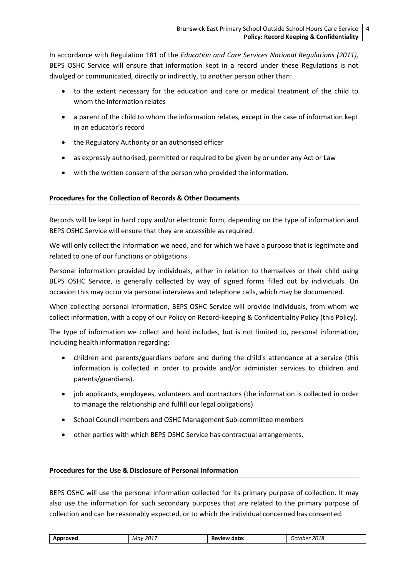In accordance with Regulation 181 of the *Education and Care Services National Regulations (2011),* BEPS OSHC Service will ensure that information kept in a record under these Regulations is not divulged or communicated, directly or indirectly, to another person other than:

- to the extent necessary for the education and care or medical treatment of the child to whom the information relates
- a parent of the child to whom the information relates, except in the case of information kept in an educator's record
- the Regulatory Authority or an authorised officer
- as expressly authorised, permitted or required to be given by or under any Act or Law
- with the written consent of the person who provided the information.

# **Procedures for the Collection of Records & Other Documents**

Records will be kept in hard copy and/or electronic form, depending on the type of information and BEPS OSHC Service will ensure that they are accessible as required.

We will only collect the information we need, and for which we have a purpose that is legitimate and related to one of our functions or obligations.

Personal information provided by individuals, either in relation to themselves or their child using BEPS OSHC Service, is generally collected by way of signed forms filled out by individuals. On occasion this may occur via personal interviews and telephone calls, which may be documented.

When collecting personal information, BEPS OSHC Service will provide individuals, from whom we collect information, with a copy of our Policy on Record-keeping & Confidentiality Policy (this Policy).

The type of information we collect and hold includes, but is not limited to, personal information, including health information regarding:

- children and parents/guardians before and during the child's attendance at a service (this information is collected in order to provide and/or administer services to children and parents/guardians).
- job applicants, employees, volunteers and contractors (the information is collected in order to manage the relationship and fulfill our legal obligations)
- School Council members and OSHC Management Sub-committee members
- other parties with which BEPS OSHC Service has contractual arrangements.

#### **Procedures for the Use & Disclosure of Personal Information**

BEPS OSHC will use the personal information collected for its primary purpose of collection. It may also use the information for such secondary purposes that are related to the primary purpose of collection and can be reasonably expected, or to which the individual concerned has consented.

| 2017<br>2018<br>urover.<br>Mav<br>- -<br>dato.<br>one<br>־זנ<br>к.<br>.<br>.<br>uale<br>.<br>____<br>___<br>. |
|---------------------------------------------------------------------------------------------------------------|
|---------------------------------------------------------------------------------------------------------------|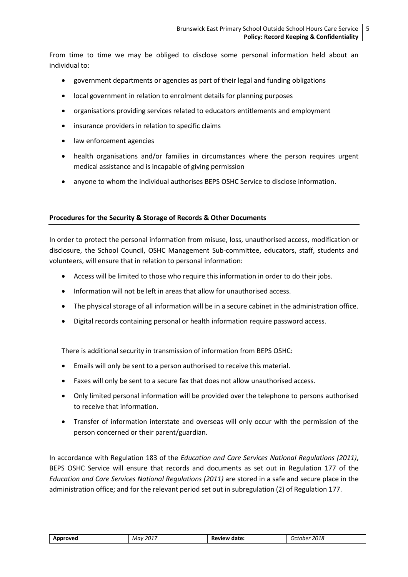From time to time we may be obliged to disclose some personal information held about an individual to:

- government departments or agencies as part of their legal and funding obligations
- local government in relation to enrolment details for planning purposes
- organisations providing services related to educators entitlements and employment
- insurance providers in relation to specific claims
- law enforcement agencies
- health organisations and/or families in circumstances where the person requires urgent medical assistance and is incapable of giving permission
- anyone to whom the individual authorises BEPS OSHC Service to disclose information.

## **Procedures for the Security & Storage of Records & Other Documents**

In order to protect the personal information from misuse, loss, unauthorised access, modification or disclosure, the School Council, OSHC Management Sub-committee, educators, staff, students and volunteers, will ensure that in relation to personal information:

- Access will be limited to those who require this information in order to do their jobs.
- Information will not be left in areas that allow for unauthorised access.
- The physical storage of all information will be in a secure cabinet in the administration office.
- Digital records containing personal or health information require password access.

There is additional security in transmission of information from BEPS OSHC:

- Emails will only be sent to a person authorised to receive this material.
- Faxes will only be sent to a secure fax that does not allow unauthorised access.
- Only limited personal information will be provided over the telephone to persons authorised to receive that information.
- Transfer of information interstate and overseas will only occur with the permission of the person concerned or their parent/guardian.

In accordance with Regulation 183 of the *Education and Care Services National Regulations (2011)*, BEPS OSHC Service will ensure that records and documents as set out in Regulation 177 of the *Education and Care Services National Regulations (2011)* are stored in a safe and secure place in the administration office; and for the relevant period set out in subregulation (2) of Regulation 177.

| oproved | 2017<br>Mav | Da.<br>date<br><b>Review</b> | 2018<br>.nher |
|---------|-------------|------------------------------|---------------|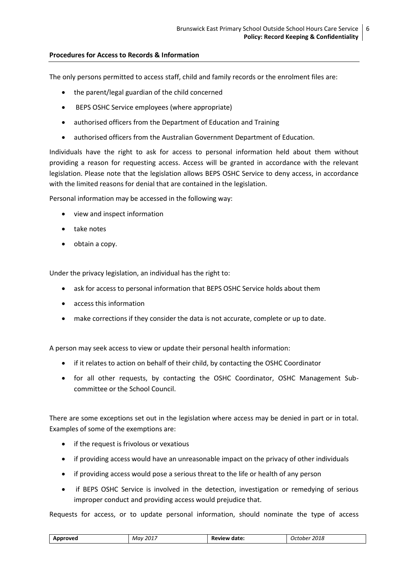## **Procedures for Access to Records & Information**

The only persons permitted to access staff, child and family records or the enrolment files are:

- the parent/legal guardian of the child concerned
- BEPS OSHC Service employees (where appropriate)
- authorised officers from the Department of Education and Training
- authorised officers from the Australian Government Department of Education.

Individuals have the right to ask for access to personal information held about them without providing a reason for requesting access. Access will be granted in accordance with the relevant legislation. Please note that the legislation allows BEPS OSHC Service to deny access, in accordance with the limited reasons for denial that are contained in the legislation.

Personal information may be accessed in the following way:

- view and inspect information
- take notes
- $\bullet$  obtain a copy.

Under the privacy legislation, an individual has the right to:

- ask for access to personal information that BEPS OSHC Service holds about them
- access this information
- make corrections if they consider the data is not accurate, complete or up to date.

A person may seek access to view or update their personal health information:

- if it relates to action on behalf of their child, by contacting the OSHC Coordinator
- for all other requests, by contacting the OSHC Coordinator, OSHC Management Subcommittee or the School Council.

There are some exceptions set out in the legislation where access may be denied in part or in total. Examples of some of the exemptions are:

- if the request is frivolous or vexatious
- if providing access would have an unreasonable impact on the privacy of other individuals
- if providing access would pose a serious threat to the life or health of any person
- if BEPS OSHC Service is involved in the detection, investigation or remedying of serious improper conduct and providing access would prejudice that.

Requests for access, or to update personal information, should nominate the type of access

| $\cdots$ | 2017<br>Μαν | date<br>в.<br>. .<br>.<br>______ | 2018<br>.nne<br>,,<br>___<br>- - - - - - |
|----------|-------------|----------------------------------|------------------------------------------|
|          |             |                                  |                                          |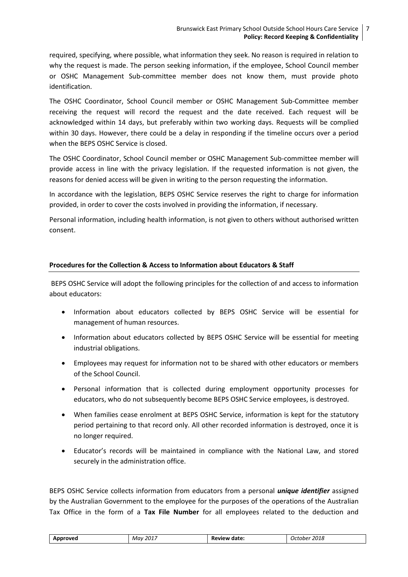required, specifying, where possible, what information they seek. No reason is required in relation to why the request is made. The person seeking information, if the employee, School Council member or OSHC Management Sub-committee member does not know them, must provide photo identification.

The OSHC Coordinator, School Council member or OSHC Management Sub-Committee member receiving the request will record the request and the date received. Each request will be acknowledged within 14 days, but preferably within two working days. Requests will be complied within 30 days. However, there could be a delay in responding if the timeline occurs over a period when the BEPS OSHC Service is closed.

The OSHC Coordinator, School Council member or OSHC Management Sub-committee member will provide access in line with the privacy legislation. If the requested information is not given, the reasons for denied access will be given in writing to the person requesting the information.

In accordance with the legislation, BEPS OSHC Service reserves the right to charge for information provided, in order to cover the costs involved in providing the information, if necessary.

Personal information, including health information, is not given to others without authorised written consent.

## **Procedures for the Collection & Access to Information about Educators & Staff**

BEPS OSHC Service will adopt the following principles for the collection of and access to information about educators:

- Information about educators collected by BEPS OSHC Service will be essential for management of human resources.
- Information about educators collected by BEPS OSHC Service will be essential for meeting industrial obligations.
- Employees may request for information not to be shared with other educators or members of the School Council.
- Personal information that is collected during employment opportunity processes for educators, who do not subsequently become BEPS OSHC Service employees, is destroyed.
- When families cease enrolment at BEPS OSHC Service, information is kept for the statutory period pertaining to that record only. All other recorded information is destroyed, once it is no longer required.
- Educator's records will be maintained in compliance with the National Law, and stored securely in the administration office.

BEPS OSHC Service collects information from educators from a personal *unique identifier* assigned by the Australian Government to the employee for the purposes of the operations of the Australian Tax Office in the form of a **Tax File Number** for all employees related to the deduction and

| -2017<br>Approved<br>Mav | Review date: | 2018<br>October |
|--------------------------|--------------|-----------------|
|--------------------------|--------------|-----------------|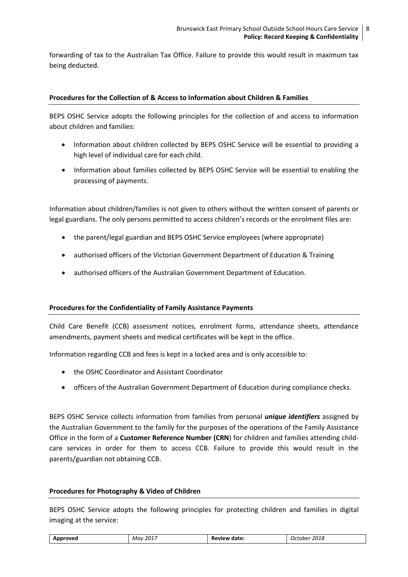forwarding of tax to the Australian Tax Office. Failure to provide this would result in maximum tax being deducted.

#### **Procedures for the Collection of & Access to Information about Children & Families**

BEPS OSHC Service adopts the following principles for the collection of and access to information about children and families:

- Information about children collected by BEPS OSHC Service will be essential to providing a high level of individual care for each child.
- Information about families collected by BEPS OSHC Service will be essential to enabling the processing of payments.

Information about children/families is not given to others without the written consent of parents or legal guardians. The only persons permitted to access children's records or the enrolment files are:

- the parent/legal guardian and BEPS OSHC Service employees (where appropriate)
- authorised officers of the Victorian Government Department of Education & Training
- authorised officers of the Australian Government Department of Education.

#### **Procedures for the Confidentiality of Family Assistance Payments**

Child Care Benefit (CCB) assessment notices, enrolment forms, attendance sheets, attendance amendments, payment sheets and medical certificates will be kept in the office.

Information regarding CCB and fees is kept in a locked area and is only accessible to:

- the OSHC Coordinator and Assistant Coordinator
- officers of the Australian Government Department of Education during compliance checks.

BEPS OSHC Service collects information from families from personal *unique identifiers* assigned by the Australian Government to the family for the purposes of the operations of the Family Assistance Office in the form of a **Customer Reference Number (CRN**) for children and families attending childcare services in order for them to access CCB. Failure to provide this would result in the parents/guardian not obtaining CCB.

#### **Procedures for Photography & Video of Children**

BEPS OSHC Service adopts the following principles for protecting children and families in digital imaging at the service:

| Approved | 201"<br>Mav<br>____ | Review.<br>date:<br>nı<br>. | 2018<br>.oher<br>"<br>___ |
|----------|---------------------|-----------------------------|---------------------------|
|----------|---------------------|-----------------------------|---------------------------|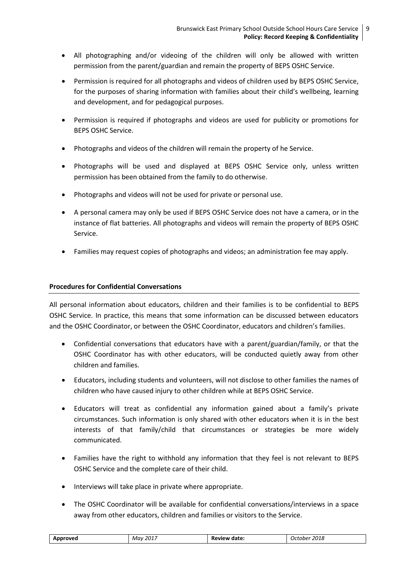- All photographing and/or videoing of the children will only be allowed with written permission from the parent/guardian and remain the property of BEPS OSHC Service.
- Permission is required for all photographs and videos of children used by BEPS OSHC Service, for the purposes of sharing information with families about their child's wellbeing, learning and development, and for pedagogical purposes.
- Permission is required if photographs and videos are used for publicity or promotions for BEPS OSHC Service.
- Photographs and videos of the children will remain the property of he Service.
- Photographs will be used and displayed at BEPS OSHC Service only, unless written permission has been obtained from the family to do otherwise.
- Photographs and videos will not be used for private or personal use.
- A personal camera may only be used if BEPS OSHC Service does not have a camera, or in the instance of flat batteries. All photographs and videos will remain the property of BEPS OSHC Service.
- Families may request copies of photographs and videos; an administration fee may apply.

## **Procedures for Confidential Conversations**

All personal information about educators, children and their families is to be confidential to BEPS OSHC Service. In practice, this means that some information can be discussed between educators and the OSHC Coordinator, or between the OSHC Coordinator, educators and children's families.

- Confidential conversations that educators have with a parent/guardian/family, or that the OSHC Coordinator has with other educators, will be conducted quietly away from other children and families.
- Educators, including students and volunteers, will not disclose to other families the names of children who have caused injury to other children while at BEPS OSHC Service.
- Educators will treat as confidential any information gained about a family's private circumstances. Such information is only shared with other educators when it is in the best interests of that family/child that circumstances or strategies be more widely communicated.
- Families have the right to withhold any information that they feel is not relevant to BEPS OSHC Service and the complete care of their child.
- Interviews will take place in private where appropriate.
- The OSHC Coordinator will be available for confidential conversations/interviews in a space away from other educators, children and families or visitors to the Service.

| Approved | 2017<br>Mav<br>_____ | date:<br>Review | 2018<br>. Ictober |
|----------|----------------------|-----------------|-------------------|
|          |                      |                 |                   |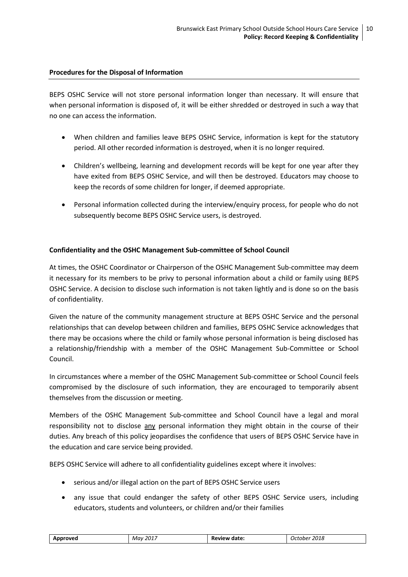#### **Procedures for the Disposal of Information**

BEPS OSHC Service will not store personal information longer than necessary. It will ensure that when personal information is disposed of, it will be either shredded or destroyed in such a way that no one can access the information.

- When children and families leave BEPS OSHC Service, information is kept for the statutory period. All other recorded information is destroyed, when it is no longer required.
- Children's wellbeing, learning and development records will be kept for one year after they have exited from BEPS OSHC Service, and will then be destroyed. Educators may choose to keep the records of some children for longer, if deemed appropriate.
- Personal information collected during the interview/enquiry process, for people who do not subsequently become BEPS OSHC Service users, is destroyed.

## **Confidentiality and the OSHC Management Sub-committee of School Council**

At times, the OSHC Coordinator or Chairperson of the OSHC Management Sub-committee may deem it necessary for its members to be privy to personal information about a child or family using BEPS OSHC Service. A decision to disclose such information is not taken lightly and is done so on the basis of confidentiality.

Given the nature of the community management structure at BEPS OSHC Service and the personal relationships that can develop between children and families, BEPS OSHC Service acknowledges that there may be occasions where the child or family whose personal information is being disclosed has a relationship/friendship with a member of the OSHC Management Sub-Committee or School Council.

In circumstances where a member of the OSHC Management Sub-committee or School Council feels compromised by the disclosure of such information, they are encouraged to temporarily absent themselves from the discussion or meeting.

Members of the OSHC Management Sub-committee and School Council have a legal and moral responsibility not to disclose any personal information they might obtain in the course of their duties. Any breach of this policy jeopardises the confidence that users of BEPS OSHC Service have in the education and care service being provided.

BEPS OSHC Service will adhere to all confidentiality guidelines except where it involves:

- serious and/or illegal action on the part of BEPS OSHC Service users
- any issue that could endanger the safety of other BEPS OSHC Service users, including educators, students and volunteers, or children and/or their families